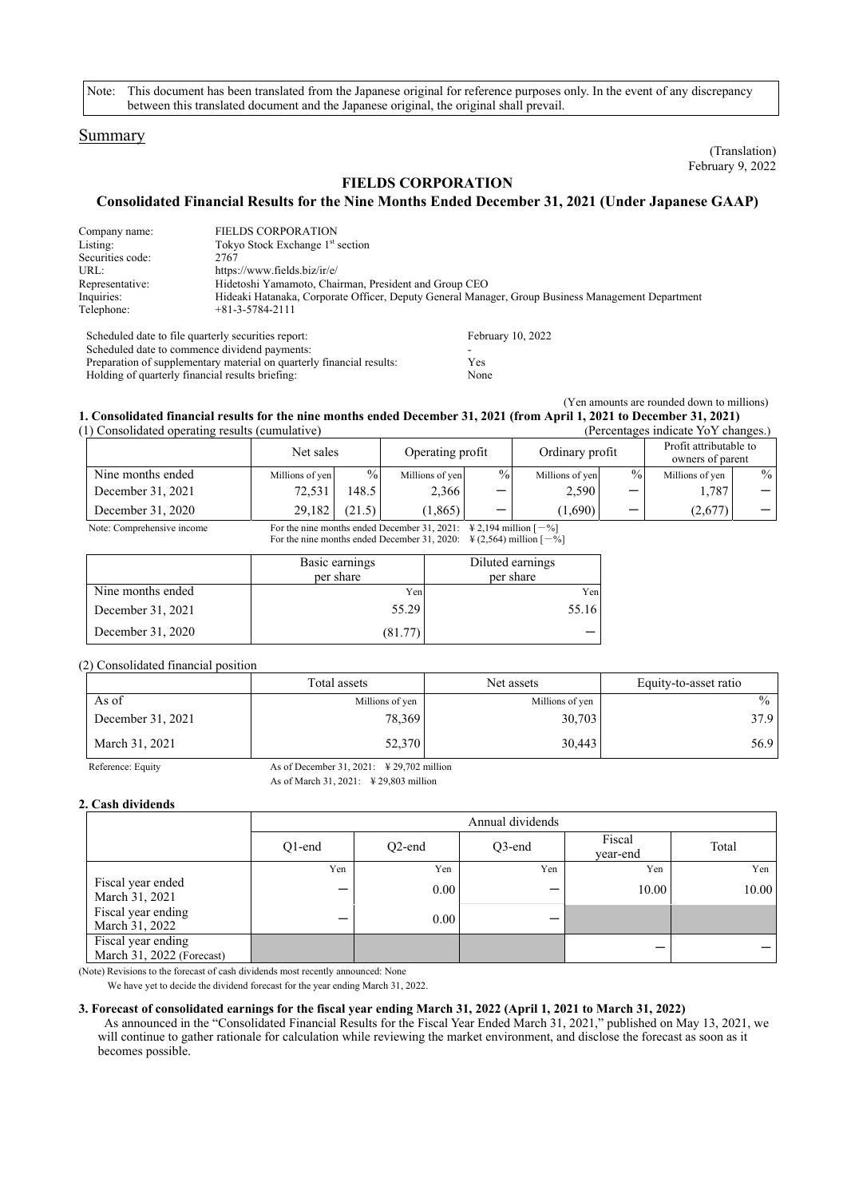Note: This document has been translated from the Japanese original for reference purposes only. In the event of any discrepancy between this translated document and the Japanese original, the original shall prevail.

## Summary

(Translation) February 9, 2022

# **FIELDS CORPORATION**

**Consolidated Financial Results for the Nine Months Ended December 31, 2021 (Under Japanese GAAP)** 

| Company name:    | <b>FIELDS CORPORATION</b>                                                                         |
|------------------|---------------------------------------------------------------------------------------------------|
| Listing:         | Tokyo Stock Exchange 1 <sup>st</sup> section                                                      |
| Securities code: | 2767                                                                                              |
| URL:             | https://www.fields.biz/ir/e/                                                                      |
| Representative:  | Hidetoshi Yamamoto, Chairman, President and Group CEO                                             |
| Inquiries:       | Hideaki Hatanaka, Corporate Officer, Deputy General Manager, Group Business Management Department |
| Telephone:       | $+81 - 3 - 5784 - 2111$                                                                           |

| Scheduled date to file quarterly securities report:                   | February 10, 2022 |
|-----------------------------------------------------------------------|-------------------|
| Scheduled date to commence dividend payments:                         |                   |
| Preparation of supplementary material on quarterly financial results: | Yes               |
| Holding of quarterly financial results briefing:                      | None              |

(Yen amounts are rounded down to millions)

#### **1. Consolidated financial results for the nine months ended December 31, 2021 (from April 1, 2021 to December 31, 2021)**  (1) Consolidated operating results (cumulative) (Percentages indicate YoY changes.)

| consolidated operating results (cumulated) |                                                                                                      |                 |        |                                     |      |                 | $\alpha$ crediting to multitude TO I changed. |                 |               |
|--------------------------------------------|------------------------------------------------------------------------------------------------------|-----------------|--------|-------------------------------------|------|-----------------|-----------------------------------------------|-----------------|---------------|
|                                            |                                                                                                      | Net sales       |        | Operating profit<br>Ordinary profit |      |                 | Profit attributable to<br>owners of parent    |                 |               |
|                                            | Nine months ended                                                                                    | Millions of yen | $\%$   | Millions of yen                     | $\%$ | Millions of yen | $\frac{0}{0}$                                 | Millions of yen | $\frac{0}{0}$ |
|                                            | December 31, 2021                                                                                    | 72.531          | 148.5  | 2,366                               |      | 2,590           |                                               | 1,787           |               |
|                                            | December 31, 2020                                                                                    | 29.182          | (21.5) | (1, 865)                            |      | (1,690)         |                                               | (2,677)         |               |
|                                            | Note: Comprehensive income<br>For the nine months ended December 31 2021: $\&$ 2.194 million $[-\%]$ |                 |        |                                     |      |                 |                                               |                 |               |

For the nine months ended December 31, 2020:  $\frac{1}{2}$  (2,564) million  $[-\%]$ 

|                   | Basic earnings<br>per share | Diluted earnings<br>per share |
|-------------------|-----------------------------|-------------------------------|
| Nine months ended | Yen                         | Yen                           |
| December 31, 2021 | 55.29                       | 55.16                         |
| December 31, 2020 | (81.77)                     |                               |

#### (2) Consolidated financial position

|                   | Total assets                                          |                 | Equity-to-asset ratio |  |
|-------------------|-------------------------------------------------------|-----------------|-----------------------|--|
| As of             | Millions of yen                                       | Millions of yen | $\frac{0}{0}$         |  |
| December 31, 2021 | 78.369                                                | 30,703          | 37.9                  |  |
| March 31, 2021    | 52,370                                                | 30.443          | 56.9                  |  |
| Reference: Equity | As of December 31, 2021: $\frac{1}{2}$ 29,702 million |                 |                       |  |

As of March 31,  $2021 \cdot \text{ } \frac{1}{2}$  29, 803 million

## **2. Cash dividends**

|                                                 | Annual dividends |           |        |                    |       |
|-------------------------------------------------|------------------|-----------|--------|--------------------|-------|
|                                                 | $O1$ -end        | $O2$ -end | Q3-end | Fiscal<br>year-end | Total |
|                                                 | Yen              | Yen       | Yen    | Yen                | Yen   |
| Fiscal year ended<br>March 31, 2021             | –                | 0.00      |        | 10.00              | 10.00 |
| Fiscal year ending<br>March 31, 2022            | –                | 0.00      |        |                    |       |
| Fiscal year ending<br>March 31, 2022 (Forecast) |                  |           |        |                    |       |

(Note) Revisions to the forecast of cash dividends most recently announced: None

We have yet to decide the dividend forecast for the year ending March 31, 2022.

#### **3. Forecast of consolidated earnings for the fiscal year ending March 31, 2022 (April 1, 2021 to March 31, 2022)**

As announced in the "Consolidated Financial Results for the Fiscal Year Ended March 31, 2021," published on May 13, 2021, we will continue to gather rationale for calculation while reviewing the market environment, and disclose the forecast as soon as it becomes possible.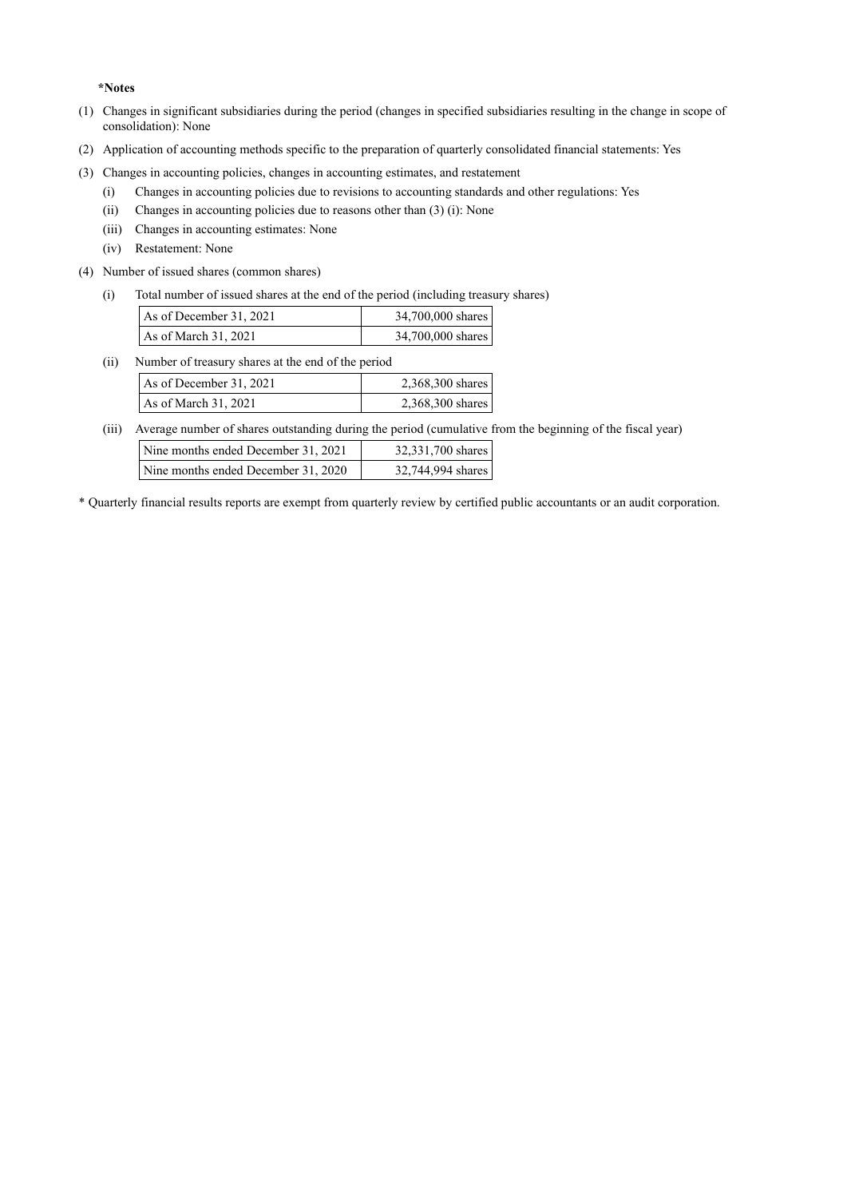**\*Notes**

- (1) Changes in significant subsidiaries during the period (changes in specified subsidiaries resulting in the change in scope of consolidation): None
- (2) Application of accounting methods specific to the preparation of quarterly consolidated financial statements: Yes
- (3) Changes in accounting policies, changes in accounting estimates, and restatement
	- (i) Changes in accounting policies due to revisions to accounting standards and other regulations: Yes
	- (ii) Changes in accounting policies due to reasons other than (3) (i): None
	- (iii) Changes in accounting estimates: None
	- (iv) Restatement: None
- (4) Number of issued shares (common shares)
	- (i) Total number of issued shares at the end of the period (including treasury shares)

| As of December 31, 2021 | 34,700,000 shares |
|-------------------------|-------------------|
| As of March $31, 2021$  | 34,700,000 shares |

(ii) Number of treasury shares at the end of the period  $\overline{A}$ s of December 31, 2021 2, 368,300 sh

| AS 01 December 31, $2021$ | $2,300,300$ shares |
|---------------------------|--------------------|
| As of March $31, 2021$    | 2,368,300 shares   |

(iii) Average number of shares outstanding during the period (cumulative from the beginning of the fiscal year)

| Nine months ended December 31, 2021 | 32,331,700 shares |
|-------------------------------------|-------------------|
| Nine months ended December 31, 2020 | 32,744,994 shares |

\* Quarterly financial results reports are exempt from quarterly review by certified public accountants or an audit corporation.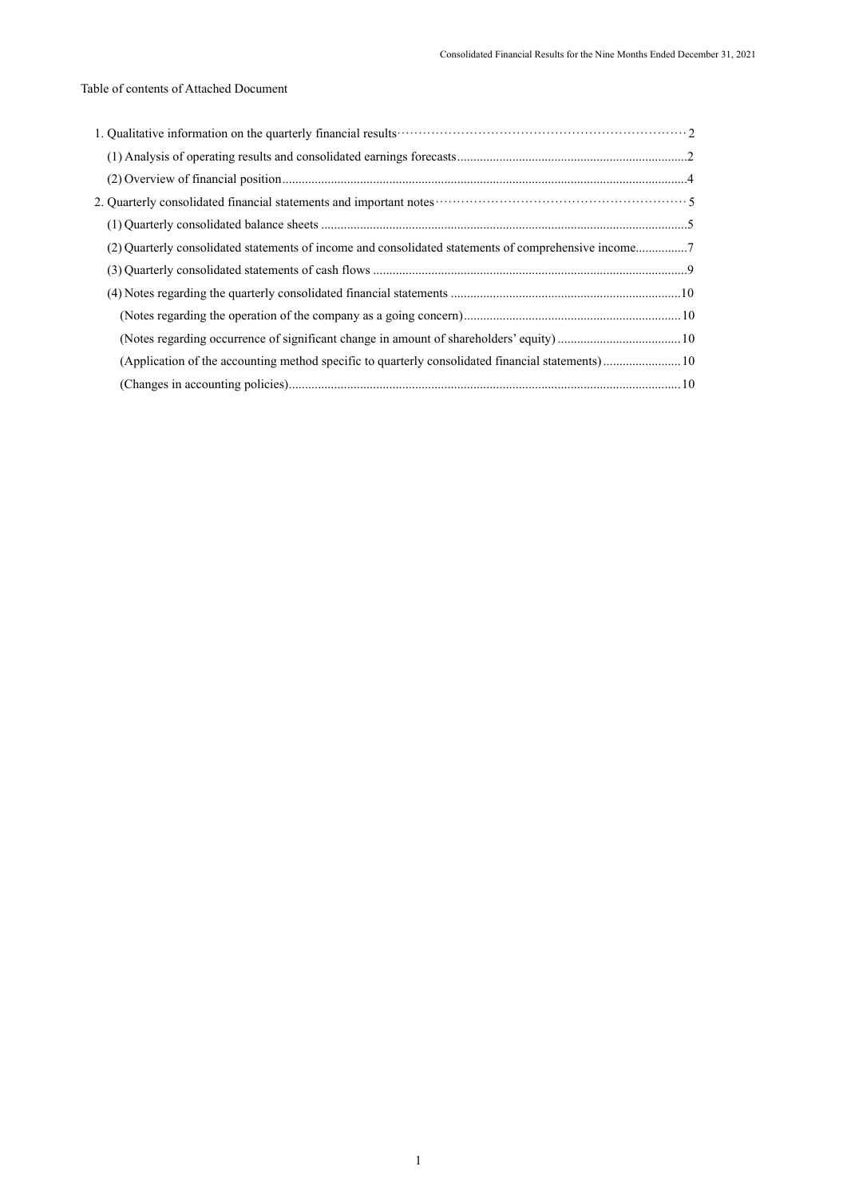# Table of contents of Attached Document

| (2) Ouarterly consolidated statements of income and consolidated statements of comprehensive income7 |  |
|------------------------------------------------------------------------------------------------------|--|
|                                                                                                      |  |
|                                                                                                      |  |
|                                                                                                      |  |
|                                                                                                      |  |
| (Application of the accounting method specific to quarterly consolidated financial statements) 10    |  |
|                                                                                                      |  |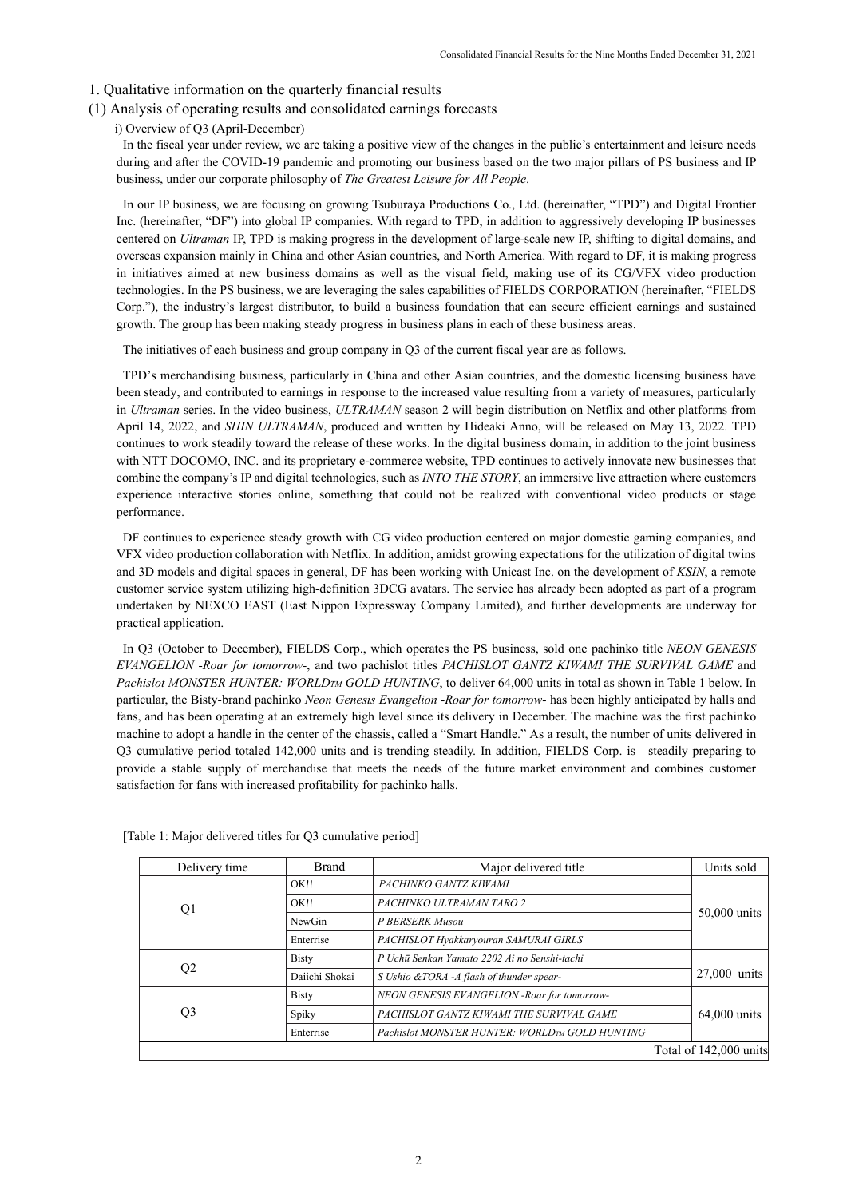#### 1. Qualitative information on the quarterly financial results

- (1) Analysis of operating results and consolidated earnings forecasts
	- i) Overview of Q3 (April-December)

In the fiscal year under review, we are taking a positive view of the changes in the public's entertainment and leisure needs during and after the COVID-19 pandemic and promoting our business based on the two major pillars of PS business and IP business, under our corporate philosophy of *The Greatest Leisure for All People*.

In our IP business, we are focusing on growing Tsuburaya Productions Co., Ltd. (hereinafter, "TPD") and Digital Frontier Inc. (hereinafter, "DF") into global IP companies. With regard to TPD, in addition to aggressively developing IP businesses centered on *Ultraman* IP, TPD is making progress in the development of large-scale new IP, shifting to digital domains, and overseas expansion mainly in China and other Asian countries, and North America. With regard to DF, it is making progress in initiatives aimed at new business domains as well as the visual field, making use of its CG/VFX video production technologies. In the PS business, we are leveraging the sales capabilities of FIELDS CORPORATION (hereinafter, "FIELDS Corp."), the industry's largest distributor, to build a business foundation that can secure efficient earnings and sustained growth. The group has been making steady progress in business plans in each of these business areas.

The initiatives of each business and group company in Q3 of the current fiscal year are as follows.

TPD's merchandising business, particularly in China and other Asian countries, and the domestic licensing business have been steady, and contributed to earnings in response to the increased value resulting from a variety of measures, particularly in *Ultraman* series. In the video business, *ULTRAMAN* season 2 will begin distribution on Netflix and other platforms from April 14, 2022, and *SHIN ULTRAMAN*, produced and written by Hideaki Anno, will be released on May 13, 2022. TPD continues to work steadily toward the release of these works. In the digital business domain, in addition to the joint business with NTT DOCOMO, INC. and its proprietary e-commerce website, TPD continues to actively innovate new businesses that combine the company's IP and digital technologies, such as *INTO THE STORY*, an immersive live attraction where customers experience interactive stories online, something that could not be realized with conventional video products or stage performance.

DF continues to experience steady growth with CG video production centered on major domestic gaming companies, and VFX video production collaboration with Netflix. In addition, amidst growing expectations for the utilization of digital twins and 3D models and digital spaces in general, DF has been working with Unicast Inc. on the development of *KSIN*, a remote customer service system utilizing high-definition 3DCG avatars. The service has already been adopted as part of a program undertaken by NEXCO EAST (East Nippon Expressway Company Limited), and further developments are underway for practical application.

In Q3 (October to December), FIELDS Corp., which operates the PS business, sold one pachinko title *NEON GENESIS EVANGELION -Roar for tomorrow-*, and two pachislot titles *PACHISLOT GANTZ KIWAMI THE SURVIVAL GAME* and *Pachislot MONSTER HUNTER: WORLDTM GOLD HUNTING*, to deliver 64,000 units in total as shown in Table 1 below. In particular, the Bisty-brand pachinko *Neon Genesis Evangelion -Roar for tomorrow-* has been highly anticipated by halls and fans, and has been operating at an extremely high level since its delivery in December. The machine was the first pachinko machine to adopt a handle in the center of the chassis, called a "Smart Handle." As a result, the number of units delivered in Q3 cumulative period totaled 142,000 units and is trending steadily. In addition, FIELDS Corp. is steadily preparing to provide a stable supply of merchandise that meets the needs of the future market environment and combines customer satisfaction for fans with increased profitability for pachinko halls.

| Delivery time  | <b>Brand</b>   | Major delivered title                                      | Units sold             |
|----------------|----------------|------------------------------------------------------------|------------------------|
|                | OK!!           | PACHINKO GANTZ KIWAMI                                      |                        |
| Q1             | OK!!           | PACHINKO ULTRAMAN TARO 2                                   |                        |
|                | NewGin         | P BERSERK Musou                                            | 50,000 units           |
|                | Enterrise      | PACHISLOT Hyakkaryouran SAMURAI GIRLS                      |                        |
|                | <b>Bisty</b>   | P Uchū Senkan Yamato 2202 Ai no Senshi-tachi               |                        |
| Q <sub>2</sub> | Daiichi Shokai | S Ushio & TORA -A flash of thunder spear-                  | 27,000 units           |
|                | <b>Bisty</b>   | NEON GENESIS EVANGELION - Roar for tomorrow-               |                        |
| Q <sub>3</sub> | Spiky          | PACHISLOT GANTZ KIWAMI THE SURVIVAL GAME                   | $64,000$ units         |
|                | Enterrise      | Pachislot MONSTER HUNTER: WORLD <sub>TM</sub> GOLD HUNTING |                        |
|                |                |                                                            | Total of 142,000 units |

[Table 1: Major delivered titles for Q3 cumulative period]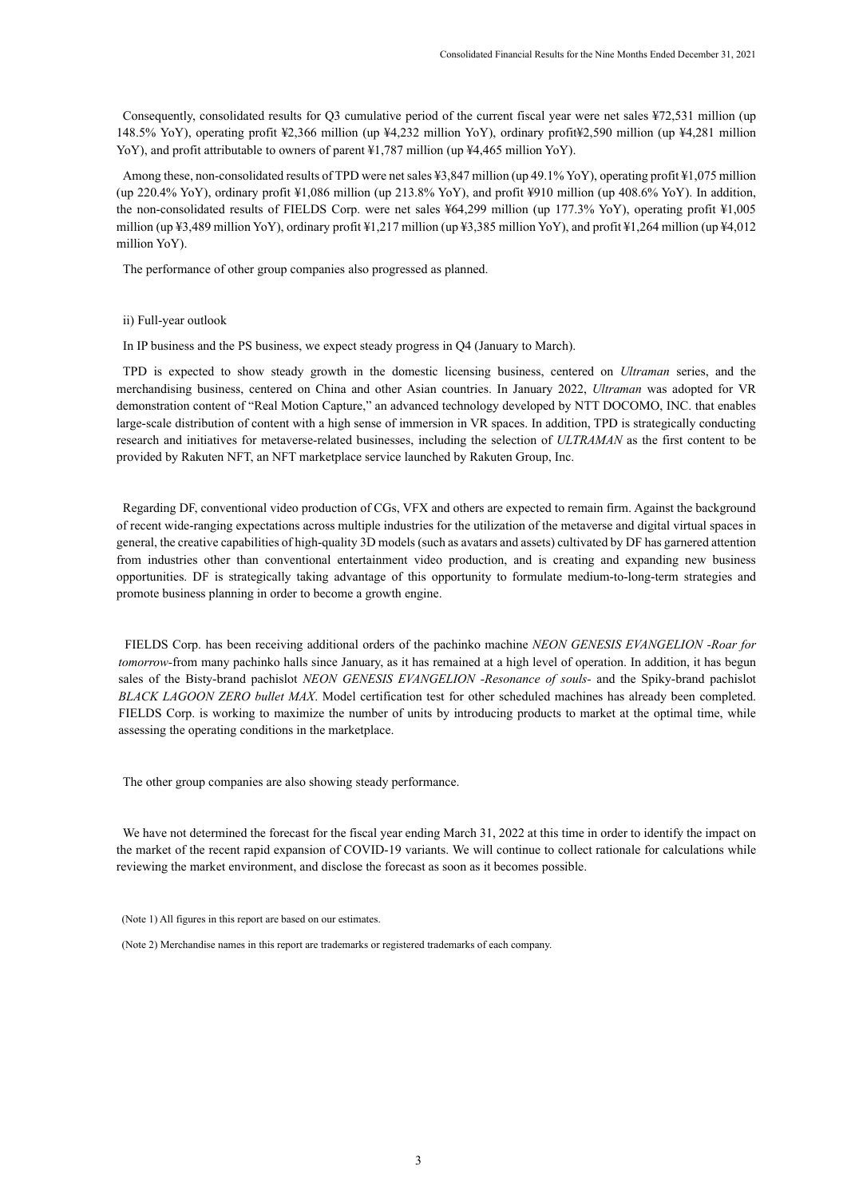Consequently, consolidated results for Q3 cumulative period of the current fiscal year were net sales ¥72,531 million (up 148.5% YoY), operating profit ¥2,366 million (up ¥4,232 million YoY), ordinary profit¥2,590 million (up ¥4,281 million YoY), and profit attributable to owners of parent ¥1,787 million (up ¥4,465 million YoY).

Among these, non-consolidated results of TPD were net sales ¥3,847 million (up 49.1% YoY), operating profit ¥1,075 million (up 220.4% YoY), ordinary profit ¥1,086 million (up 213.8% YoY), and profit ¥910 million (up 408.6% YoY). In addition, the non-consolidated results of FIELDS Corp. were net sales ¥64,299 million (up 177.3% YoY), operating profit ¥1,005 million (up ¥3,489 million YoY), ordinary profit ¥1,217 million (up ¥3,385 million YoY), and profit ¥1,264 million (up ¥4,012 million YoY).

The performance of other group companies also progressed as planned.

ii) Full-year outlook

In IP business and the PS business, we expect steady progress in Q4 (January to March).

TPD is expected to show steady growth in the domestic licensing business, centered on *Ultraman* series, and the merchandising business, centered on China and other Asian countries. In January 2022, *Ultraman* was adopted for VR demonstration content of "Real Motion Capture," an advanced technology developed by NTT DOCOMO, INC. that enables large-scale distribution of content with a high sense of immersion in VR spaces. In addition, TPD is strategically conducting research and initiatives for metaverse-related businesses, including the selection of *ULTRAMAN* as the first content to be provided by Rakuten NFT, an NFT marketplace service launched by Rakuten Group, Inc.

Regarding DF, conventional video production of CGs, VFX and others are expected to remain firm. Against the background of recent wide-ranging expectations across multiple industries for the utilization of the metaverse and digital virtual spaces in general, the creative capabilities of high-quality 3D models (such as avatars and assets) cultivated by DF has garnered attention from industries other than conventional entertainment video production, and is creating and expanding new business opportunities. DF is strategically taking advantage of this opportunity to formulate medium-to-long-term strategies and promote business planning in order to become a growth engine.

FIELDS Corp. has been receiving additional orders of the pachinko machine *NEON GENESIS EVANGELION -Roar for tomorrow-*from many pachinko halls since January, as it has remained at a high level of operation. In addition, it has begun sales of the Bisty-brand pachislot *NEON GENESIS EVANGELION -Resonance of souls-* and the Spiky-brand pachislot *BLACK LAGOON ZERO bullet MAX*. Model certification test for other scheduled machines has already been completed. FIELDS Corp. is working to maximize the number of units by introducing products to market at the optimal time, while assessing the operating conditions in the marketplace.

The other group companies are also showing steady performance.

We have not determined the forecast for the fiscal year ending March 31, 2022 at this time in order to identify the impact on the market of the recent rapid expansion of COVID-19 variants. We will continue to collect rationale for calculations while reviewing the market environment, and disclose the forecast as soon as it becomes possible.

(Note 1) All figures in this report are based on our estimates.

(Note 2) Merchandise names in this report are trademarks or registered trademarks of each company.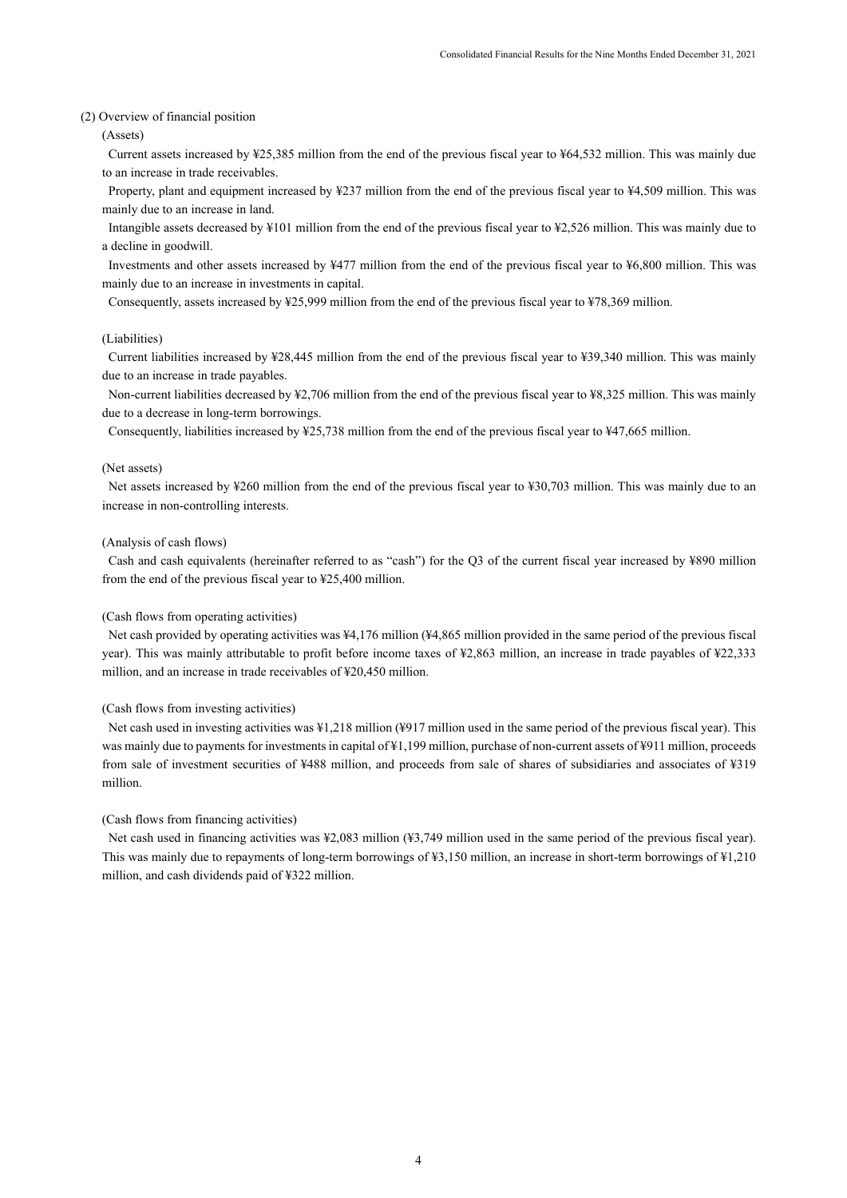#### (2) Overview of financial position

(Assets)

Current assets increased by ¥25,385 million from the end of the previous fiscal year to ¥64,532 million. This was mainly due to an increase in trade receivables.

Property, plant and equipment increased by ¥237 million from the end of the previous fiscal year to ¥4,509 million. This was mainly due to an increase in land.

Intangible assets decreased by ¥101 million from the end of the previous fiscal year to ¥2,526 million. This was mainly due to a decline in goodwill.

Investments and other assets increased by ¥477 million from the end of the previous fiscal year to ¥6,800 million. This was mainly due to an increase in investments in capital.

Consequently, assets increased by ¥25,999 million from the end of the previous fiscal year to ¥78,369 million.

### (Liabilities)

Current liabilities increased by ¥28,445 million from the end of the previous fiscal year to ¥39,340 million. This was mainly due to an increase in trade payables.

Non-current liabilities decreased by ¥2,706 million from the end of the previous fiscal year to ¥8,325 million. This was mainly due to a decrease in long-term borrowings.

Consequently, liabilities increased by ¥25,738 million from the end of the previous fiscal year to ¥47,665 million.

#### (Net assets)

Net assets increased by ¥260 million from the end of the previous fiscal year to ¥30,703 million. This was mainly due to an increase in non-controlling interests.

#### (Analysis of cash flows)

Cash and cash equivalents (hereinafter referred to as "cash") for the Q3 of the current fiscal year increased by ¥890 million from the end of the previous fiscal year to ¥25,400 million.

#### (Cash flows from operating activities)

Net cash provided by operating activities was ¥4,176 million (¥4,865 million provided in the same period of the previous fiscal year). This was mainly attributable to profit before income taxes of ¥2,863 million, an increase in trade payables of ¥22,333 million, and an increase in trade receivables of ¥20,450 million.

## (Cash flows from investing activities)

Net cash used in investing activities was ¥1,218 million (¥917 million used in the same period of the previous fiscal year). This was mainly due to payments for investments in capital of ¥1,199 million, purchase of non-current assets of ¥911 million, proceeds from sale of investment securities of ¥488 million, and proceeds from sale of shares of subsidiaries and associates of ¥319 million.

## (Cash flows from financing activities)

Net cash used in financing activities was ¥2,083 million (¥3,749 million used in the same period of the previous fiscal year). This was mainly due to repayments of long-term borrowings of ¥3,150 million, an increase in short-term borrowings of ¥1,210 million, and cash dividends paid of ¥322 million.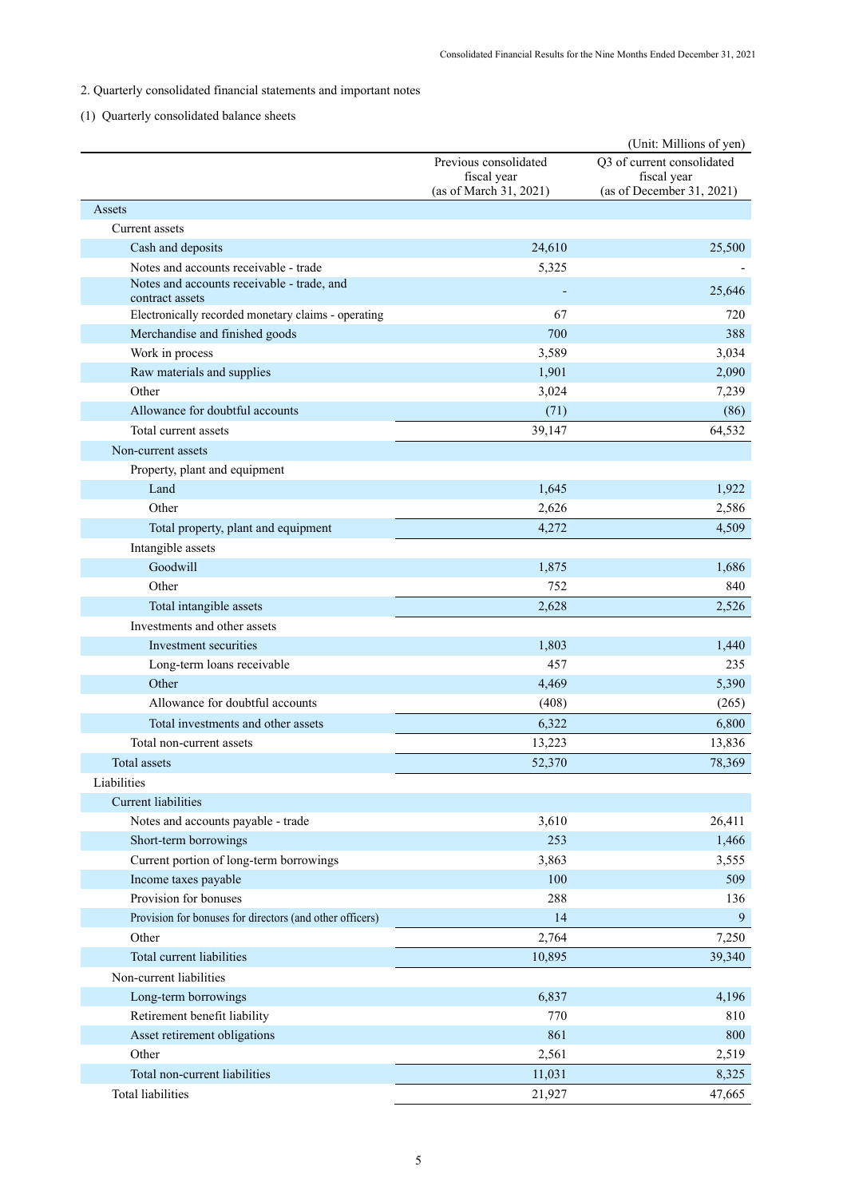# 2. Quarterly consolidated financial statements and important notes

# (1) Quarterly consolidated balance sheets

|                                                          |                                       | (Unit: Millions of yen)                  |
|----------------------------------------------------------|---------------------------------------|------------------------------------------|
|                                                          | Previous consolidated                 | Q3 of current consolidated               |
|                                                          | fiscal year<br>(as of March 31, 2021) | fiscal year<br>(as of December 31, 2021) |
| Assets                                                   |                                       |                                          |
| Current assets                                           |                                       |                                          |
| Cash and deposits                                        | 24,610                                | 25,500                                   |
| Notes and accounts receivable - trade                    | 5,325                                 |                                          |
| Notes and accounts receivable - trade, and               |                                       |                                          |
| contract assets                                          |                                       | 25,646                                   |
| Electronically recorded monetary claims - operating      | 67                                    | 720                                      |
| Merchandise and finished goods                           | 700                                   | 388                                      |
| Work in process                                          | 3,589                                 | 3,034                                    |
| Raw materials and supplies                               | 1,901                                 | 2,090                                    |
| Other                                                    | 3,024                                 | 7,239                                    |
| Allowance for doubtful accounts                          | (71)                                  | (86)                                     |
| Total current assets                                     | 39,147                                | 64,532                                   |
| Non-current assets                                       |                                       |                                          |
| Property, plant and equipment                            |                                       |                                          |
| Land                                                     | 1,645                                 | 1,922                                    |
| Other                                                    | 2,626                                 | 2,586                                    |
| Total property, plant and equipment                      | 4,272                                 | 4,509                                    |
| Intangible assets                                        |                                       |                                          |
| Goodwill                                                 | 1,875                                 | 1,686                                    |
| Other                                                    | 752                                   | 840                                      |
| Total intangible assets                                  | 2,628                                 | 2,526                                    |
| Investments and other assets                             |                                       |                                          |
|                                                          |                                       |                                          |
| Investment securities                                    | 1,803                                 | 1,440                                    |
| Long-term loans receivable                               | 457                                   | 235                                      |
| Other                                                    | 4,469                                 | 5,390                                    |
| Allowance for doubtful accounts                          | (408)                                 | (265)                                    |
| Total investments and other assets                       | 6,322                                 | 6,800                                    |
| Total non-current assets                                 | 13,223                                | 13,836                                   |
| Total assets                                             | 52,370                                | 78,369                                   |
| Liabilities                                              |                                       |                                          |
| <b>Current liabilities</b>                               |                                       |                                          |
| Notes and accounts payable - trade                       | 3,610                                 | 26,411                                   |
| Short-term borrowings                                    | 253                                   | 1,466                                    |
| Current portion of long-term borrowings                  | 3,863                                 | 3,555                                    |
| Income taxes payable                                     | 100                                   | 509                                      |
| Provision for bonuses                                    | 288                                   | 136                                      |
| Provision for bonuses for directors (and other officers) | 14                                    | 9                                        |
| Other                                                    | 2,764                                 | 7,250                                    |
| Total current liabilities                                | 10,895                                | 39,340                                   |
| Non-current liabilities                                  |                                       |                                          |
| Long-term borrowings                                     | 6,837                                 | 4,196                                    |
| Retirement benefit liability                             | 770                                   | 810                                      |
| Asset retirement obligations                             | 861                                   | 800                                      |
| Other                                                    | 2,561                                 | 2,519                                    |
| Total non-current liabilities                            | 11,031                                | 8,325                                    |
| <b>Total liabilities</b>                                 | 21,927                                | 47,665                                   |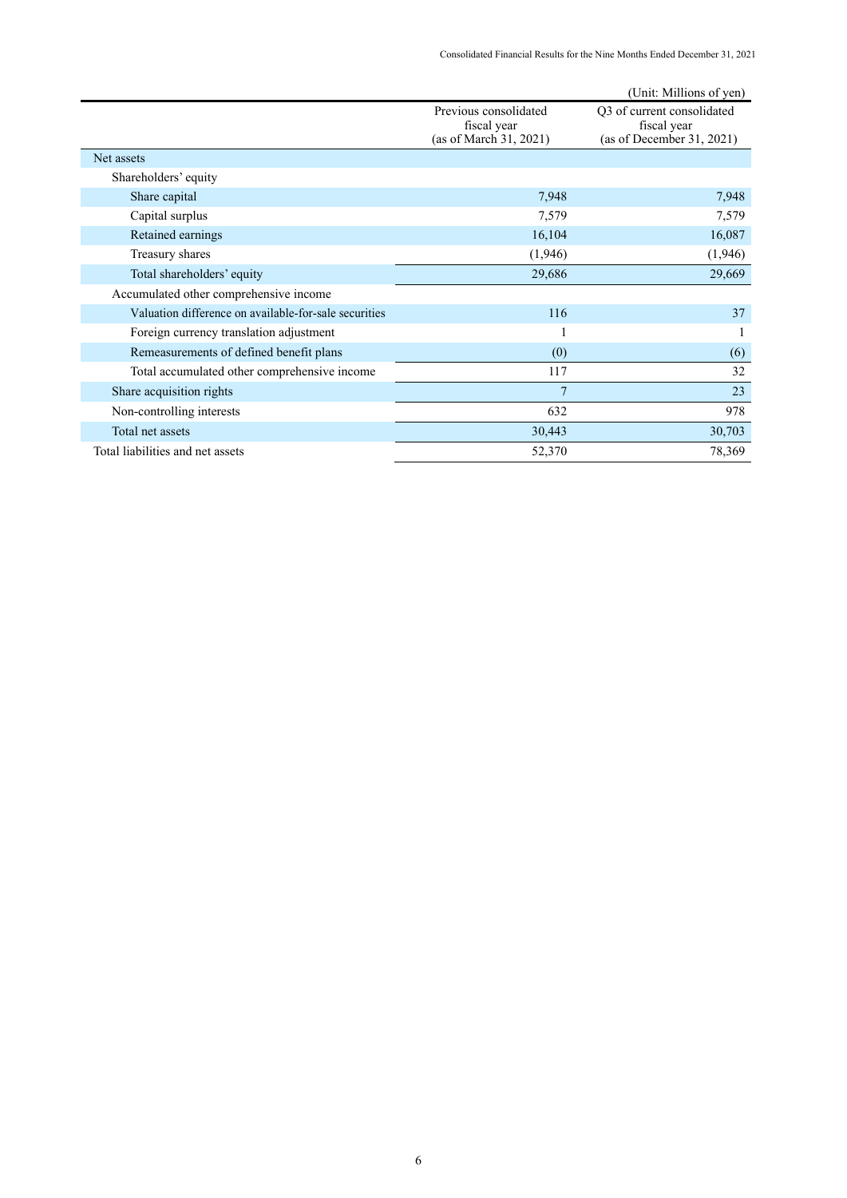|                                                       |                                                                | (Unit: Millions of yen)                                                |
|-------------------------------------------------------|----------------------------------------------------------------|------------------------------------------------------------------------|
|                                                       | Previous consolidated<br>fiscal year<br>(as of March 31, 2021) | Q3 of current consolidated<br>fiscal year<br>(as of December 31, 2021) |
| Net assets                                            |                                                                |                                                                        |
| Shareholders' equity                                  |                                                                |                                                                        |
| Share capital                                         | 7,948                                                          | 7,948                                                                  |
| Capital surplus                                       | 7,579                                                          | 7,579                                                                  |
| Retained earnings                                     | 16,104                                                         | 16,087                                                                 |
| Treasury shares                                       | (1,946)                                                        | (1,946)                                                                |
| Total shareholders' equity                            | 29,686                                                         | 29,669                                                                 |
| Accumulated other comprehensive income                |                                                                |                                                                        |
| Valuation difference on available-for-sale securities | 116                                                            | 37                                                                     |
| Foreign currency translation adjustment               |                                                                |                                                                        |
| Remeasurements of defined benefit plans               | (0)                                                            | (6)                                                                    |
| Total accumulated other comprehensive income          | 117                                                            | 32                                                                     |
| Share acquisition rights                              | 7                                                              | 23                                                                     |
| Non-controlling interests                             | 632                                                            | 978                                                                    |
| Total net assets                                      | 30,443                                                         | 30,703                                                                 |
| Total liabilities and net assets                      | 52,370                                                         | 78,369                                                                 |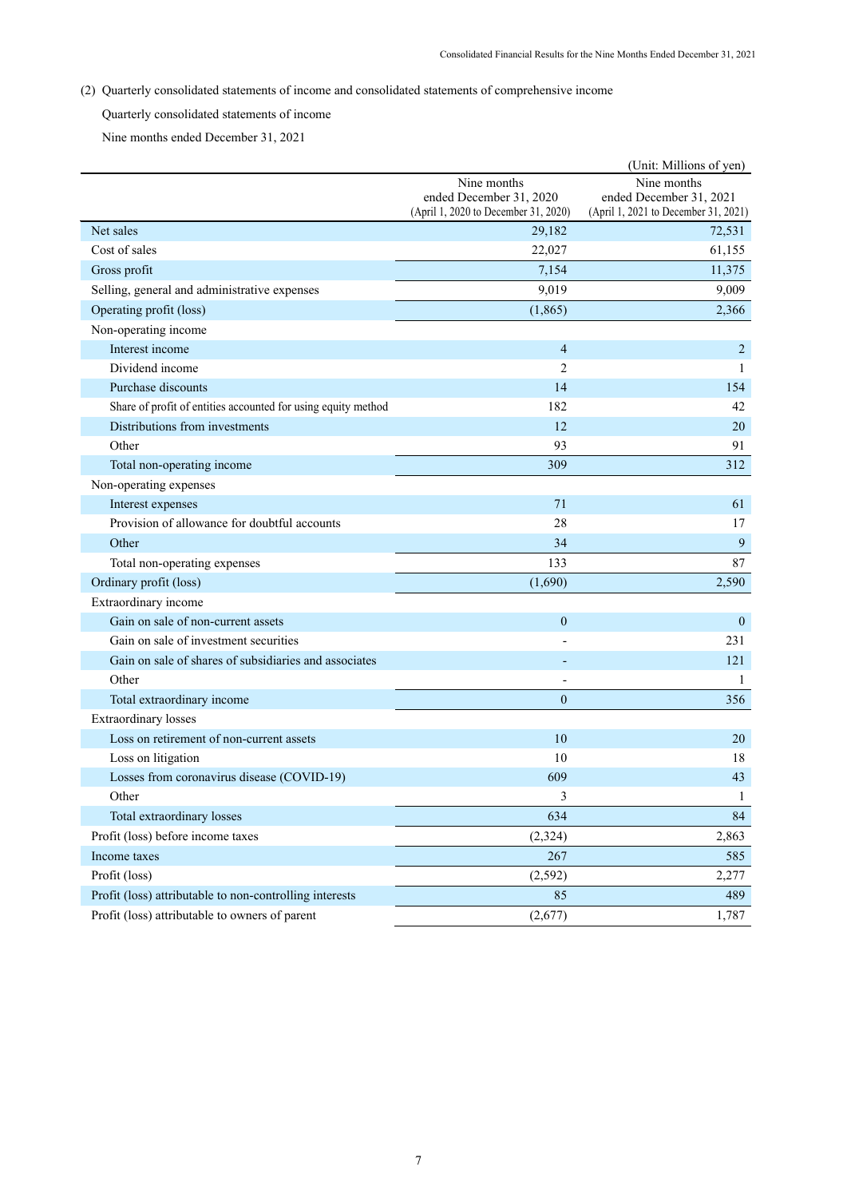(2) Quarterly consolidated statements of income and consolidated statements of comprehensive income

Quarterly consolidated statements of income

Nine months ended December 31, 2021

|                                                               |                                                                                | (Unit: Millions of yen)                                                        |
|---------------------------------------------------------------|--------------------------------------------------------------------------------|--------------------------------------------------------------------------------|
|                                                               | Nine months<br>ended December 31, 2020<br>(April 1, 2020 to December 31, 2020) | Nine months<br>ended December 31, 2021<br>(April 1, 2021 to December 31, 2021) |
| Net sales                                                     | 29,182                                                                         | 72,531                                                                         |
| Cost of sales                                                 | 22,027                                                                         | 61,155                                                                         |
| Gross profit                                                  | 7,154                                                                          | 11,375                                                                         |
| Selling, general and administrative expenses                  | 9,019                                                                          | 9,009                                                                          |
| Operating profit (loss)                                       | (1,865)                                                                        | 2,366                                                                          |
| Non-operating income                                          |                                                                                |                                                                                |
| Interest income                                               | $\overline{4}$                                                                 | 2                                                                              |
| Dividend income                                               | $\overline{2}$                                                                 | 1                                                                              |
| Purchase discounts                                            | 14                                                                             | 154                                                                            |
| Share of profit of entities accounted for using equity method | 182                                                                            | 42                                                                             |
| Distributions from investments                                | 12                                                                             | 20                                                                             |
| Other                                                         | 93                                                                             | 91                                                                             |
| Total non-operating income                                    | 309                                                                            | 312                                                                            |
| Non-operating expenses                                        |                                                                                |                                                                                |
| Interest expenses                                             | 71                                                                             | 61                                                                             |
| Provision of allowance for doubtful accounts                  | 28                                                                             | 17                                                                             |
| Other                                                         | 34                                                                             | $\overline{9}$                                                                 |
| Total non-operating expenses                                  | 133                                                                            | 87                                                                             |
| Ordinary profit (loss)                                        | (1,690)                                                                        | 2,590                                                                          |
| Extraordinary income                                          |                                                                                |                                                                                |
| Gain on sale of non-current assets                            | $\overline{0}$                                                                 | $\mathbf{0}$                                                                   |
| Gain on sale of investment securities                         |                                                                                | 231                                                                            |
| Gain on sale of shares of subsidiaries and associates         |                                                                                | 121                                                                            |
| Other                                                         |                                                                                | 1                                                                              |
| Total extraordinary income                                    | $\overline{0}$                                                                 | 356                                                                            |
| <b>Extraordinary</b> losses                                   |                                                                                |                                                                                |
| Loss on retirement of non-current assets                      | 10                                                                             | 20                                                                             |
| Loss on litigation                                            | 10                                                                             | 18                                                                             |
| Losses from coronavirus disease (COVID-19)                    | 609                                                                            | 43                                                                             |
| Other                                                         | $\mathfrak{p}$                                                                 | $\perp$                                                                        |
| Total extraordinary losses                                    | 634                                                                            | 84                                                                             |
| Profit (loss) before income taxes                             | (2,324)                                                                        | 2,863                                                                          |
| Income taxes                                                  | 267                                                                            | 585                                                                            |
| Profit (loss)                                                 | (2,592)                                                                        | 2,277                                                                          |
| Profit (loss) attributable to non-controlling interests       | 85                                                                             | 489                                                                            |
| Profit (loss) attributable to owners of parent                | (2,677)                                                                        | 1,787                                                                          |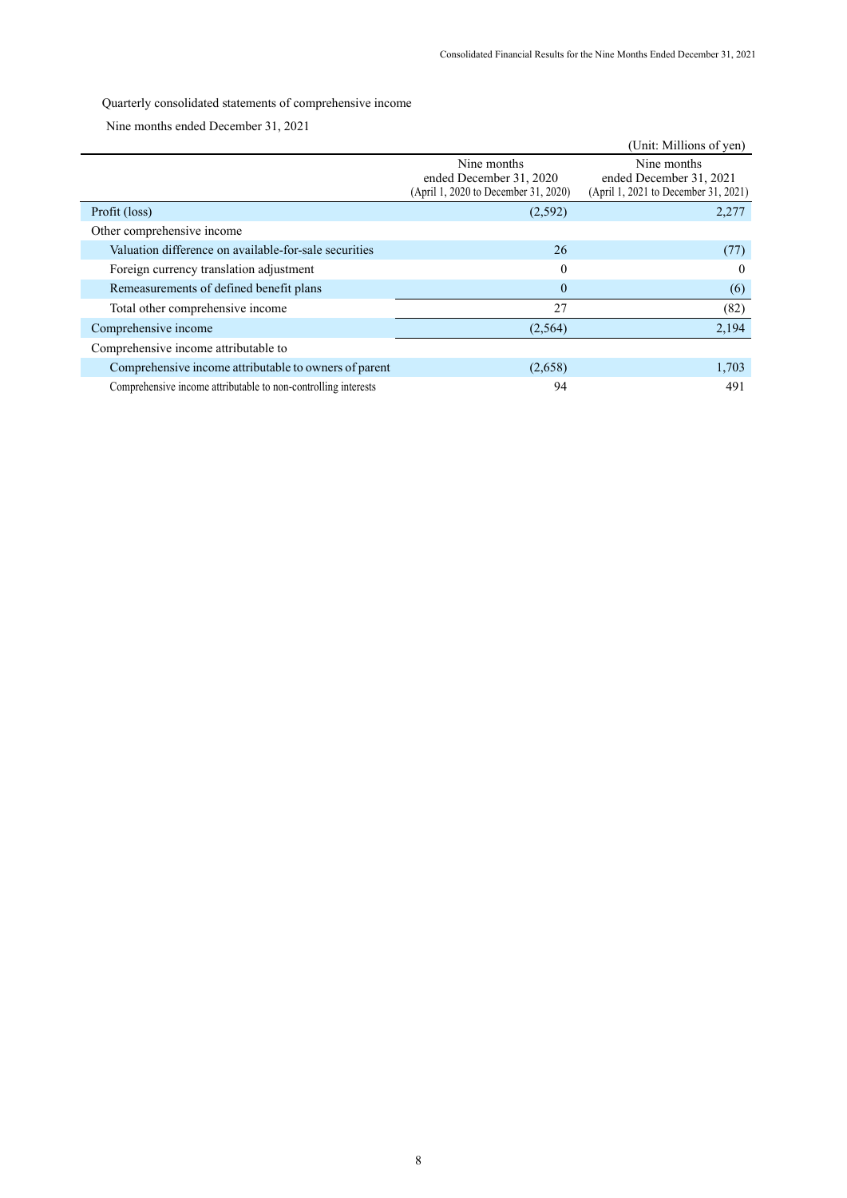Quarterly consolidated statements of comprehensive income

Nine months ended December 31, 2021

|                                                                |                                                                                | (Unit: Millions of yen)                                                        |
|----------------------------------------------------------------|--------------------------------------------------------------------------------|--------------------------------------------------------------------------------|
|                                                                | Nine months<br>ended December 31, 2020<br>(April 1, 2020 to December 31, 2020) | Nine months<br>ended December 31, 2021<br>(April 1, 2021 to December 31, 2021) |
| Profit (loss)                                                  | (2,592)                                                                        | 2,277                                                                          |
| Other comprehensive income                                     |                                                                                |                                                                                |
| Valuation difference on available-for-sale securities          | 26                                                                             | (77)                                                                           |
| Foreign currency translation adjustment                        | $\Omega$                                                                       | $\Omega$                                                                       |
| Remeasurements of defined benefit plans                        | $\mathbf{0}$                                                                   | (6)                                                                            |
| Total other comprehensive income                               | 27                                                                             | (82)                                                                           |
| Comprehensive income                                           | (2, 564)                                                                       | 2,194                                                                          |
| Comprehensive income attributable to                           |                                                                                |                                                                                |
| Comprehensive income attributable to owners of parent          | (2,658)                                                                        | 1,703                                                                          |
| Comprehensive income attributable to non-controlling interests | 94                                                                             | 491                                                                            |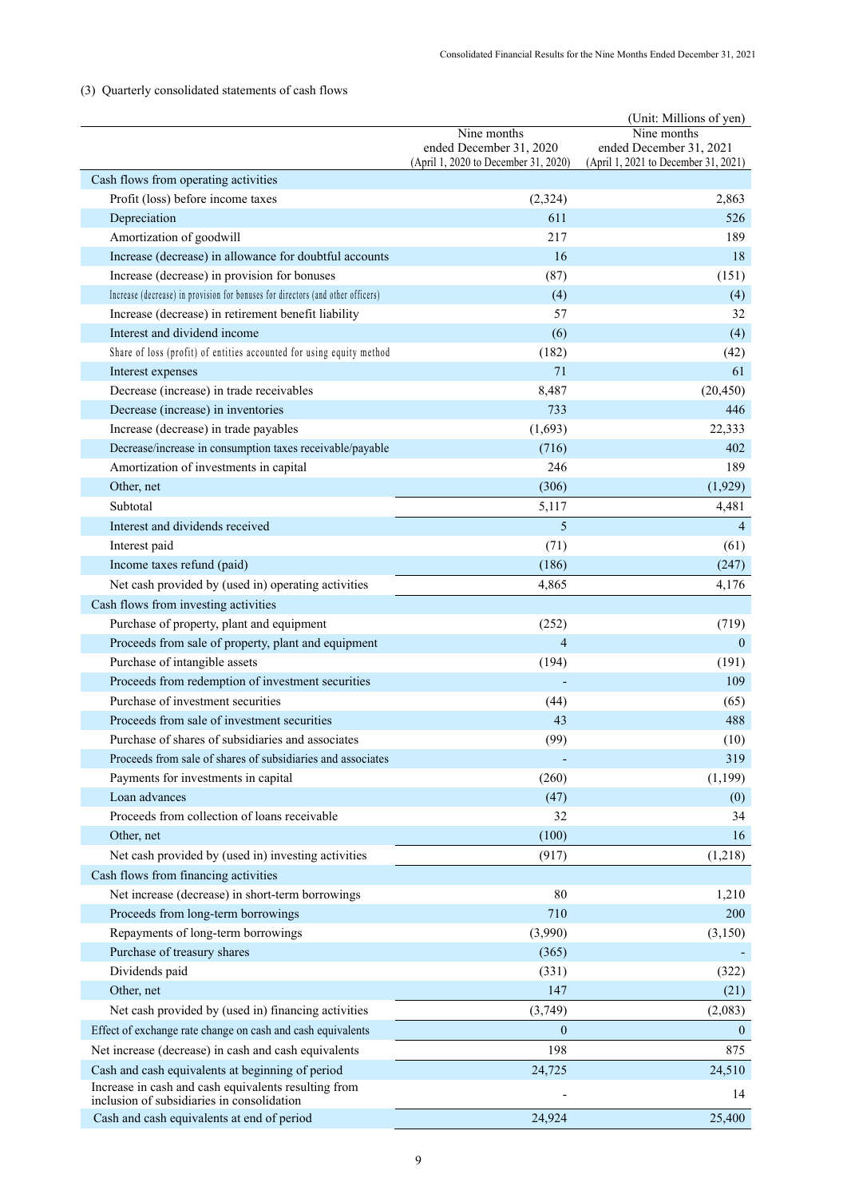# (3) Quarterly consolidated statements of cash flows

|                                                                                                          |                                                                 | (Unit: Millions of yen)                                         |
|----------------------------------------------------------------------------------------------------------|-----------------------------------------------------------------|-----------------------------------------------------------------|
|                                                                                                          | Nine months                                                     | Nine months                                                     |
|                                                                                                          | ended December 31, 2020<br>(April 1, 2020 to December 31, 2020) | ended December 31, 2021<br>(April 1, 2021 to December 31, 2021) |
| Cash flows from operating activities                                                                     |                                                                 |                                                                 |
| Profit (loss) before income taxes                                                                        | (2,324)                                                         | 2,863                                                           |
| Depreciation                                                                                             | 611                                                             | 526                                                             |
| Amortization of goodwill                                                                                 | 217                                                             | 189                                                             |
| Increase (decrease) in allowance for doubtful accounts                                                   | 16                                                              | 18                                                              |
| Increase (decrease) in provision for bonuses                                                             | (87)                                                            | (151)                                                           |
| Increase (decrease) in provision for bonuses for directors (and other officers)                          | (4)                                                             | (4)                                                             |
| Increase (decrease) in retirement benefit liability                                                      | 57                                                              | 32                                                              |
| Interest and dividend income                                                                             | (6)                                                             | (4)                                                             |
| Share of loss (profit) of entities accounted for using equity method                                     | (182)                                                           | (42)                                                            |
| Interest expenses                                                                                        | 71                                                              | 61                                                              |
| Decrease (increase) in trade receivables                                                                 | 8,487                                                           | (20, 450)                                                       |
| Decrease (increase) in inventories                                                                       | 733                                                             | 446                                                             |
| Increase (decrease) in trade payables                                                                    | (1,693)                                                         | 22,333                                                          |
| Decrease/increase in consumption taxes receivable/payable                                                | (716)                                                           | 402                                                             |
| Amortization of investments in capital                                                                   | 246                                                             | 189                                                             |
| Other, net                                                                                               | (306)                                                           | (1,929)                                                         |
| Subtotal                                                                                                 | 5,117                                                           | 4,481                                                           |
| Interest and dividends received                                                                          | 5                                                               | $\overline{4}$                                                  |
| Interest paid                                                                                            | (71)                                                            | (61)                                                            |
| Income taxes refund (paid)                                                                               | (186)                                                           | (247)                                                           |
| Net cash provided by (used in) operating activities                                                      | 4,865                                                           | 4,176                                                           |
| Cash flows from investing activities                                                                     |                                                                 |                                                                 |
| Purchase of property, plant and equipment                                                                | (252)                                                           | (719)                                                           |
| Proceeds from sale of property, plant and equipment                                                      | 4                                                               | $\theta$                                                        |
| Purchase of intangible assets                                                                            | (194)                                                           | (191)                                                           |
| Proceeds from redemption of investment securities                                                        |                                                                 | 109                                                             |
| Purchase of investment securities                                                                        | (44)                                                            | (65)                                                            |
| Proceeds from sale of investment securities                                                              | 43                                                              | 488                                                             |
| Purchase of shares of subsidiaries and associates                                                        | (99)                                                            | (10)                                                            |
| Proceeds from sale of shares of subsidiaries and associates                                              |                                                                 | 319                                                             |
| Payments for investments in capital                                                                      | (260)                                                           | (1, 199)                                                        |
| Loan advances                                                                                            | (47)                                                            | (0)                                                             |
| Proceeds from collection of loans receivable                                                             | 32                                                              | 34                                                              |
| Other, net                                                                                               | (100)                                                           | 16                                                              |
| Net cash provided by (used in) investing activities                                                      | (917)                                                           | (1,218)                                                         |
| Cash flows from financing activities                                                                     |                                                                 |                                                                 |
| Net increase (decrease) in short-term borrowings                                                         | 80                                                              | 1,210                                                           |
| Proceeds from long-term borrowings                                                                       | 710                                                             | 200                                                             |
| Repayments of long-term borrowings                                                                       | (3,990)                                                         | (3,150)                                                         |
| Purchase of treasury shares                                                                              | (365)                                                           |                                                                 |
| Dividends paid                                                                                           | (331)                                                           | (322)                                                           |
| Other, net                                                                                               | 147                                                             | (21)                                                            |
| Net cash provided by (used in) financing activities                                                      | (3,749)                                                         | (2,083)                                                         |
| Effect of exchange rate change on cash and cash equivalents                                              | $\overline{0}$                                                  | $\mathbf{0}$                                                    |
| Net increase (decrease) in cash and cash equivalents                                                     | 198                                                             | 875                                                             |
|                                                                                                          | 24,725                                                          |                                                                 |
| Cash and cash equivalents at beginning of period<br>Increase in cash and cash equivalents resulting from |                                                                 | 24,510                                                          |
| inclusion of subsidiaries in consolidation                                                               |                                                                 | 14                                                              |
| Cash and cash equivalents at end of period                                                               | 24,924                                                          | 25,400                                                          |